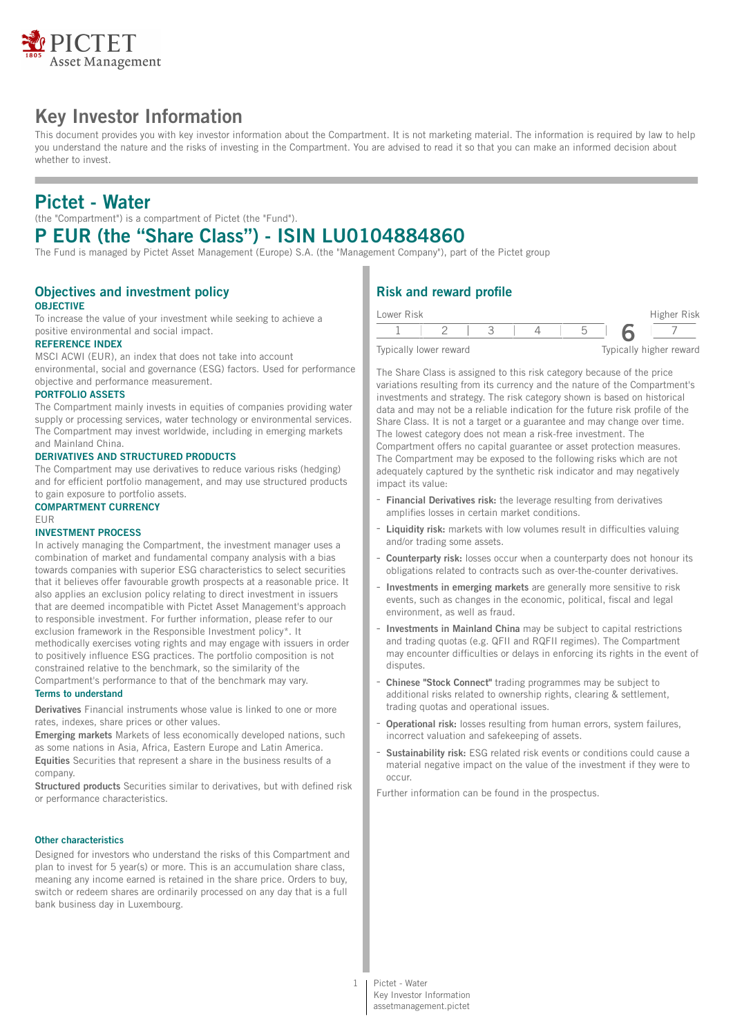

# **Key Investor Information**

This document provides you with key investor information about the Compartment. It is not marketing material. The information is required by law to help you understand the nature and the risks of investing in the Compartment. You are advised to read it so that you can make an informed decision about whether to invest.

# **Pictet - Water**

(the "Compartment") is a compartment of Pictet (the "Fund").

# **P EUR (the "Share Class") - ISIN LU0104884860**

The Fund is managed by Pictet Asset Management (Europe) S.A. (the "Management Company"), part of the Pictet group

## **Objectives and investment policy OBJECTIVE**

To increase the value of your investment while seeking to achieve a positive environmental and social impact.

### **REFERENCE INDEX**

MSCI ACWI (EUR), an index that does not take into account environmental, social and governance (ESG) factors. Used for performance objective and performance measurement.

#### **PORTFOLIO ASSETS**

The Compartment mainly invests in equities of companies providing water supply or processing services, water technology or environmental services. The Compartment may invest worldwide, including in emerging markets and Mainland China.

#### **DERIVATIVES AND STRUCTURED PRODUCTS**

The Compartment may use derivatives to reduce various risks (hedging) and for efficient portfolio management, and may use structured products to gain exposure to portfolio assets.

#### **COMPARTMENT CURRENCY** EUR

#### **INVESTMENT PROCESS**

In actively managing the Compartment, the investment manager uses a combination of market and fundamental company analysis with a bias towards companies with superior ESG characteristics to select securities that it believes offer favourable growth prospects at a reasonable price. It also applies an exclusion policy relating to direct investment in issuers that are deemed incompatible with Pictet Asset Management's approach to responsible investment. For further information, please refer to our exclusion framework in the Responsible Investment policy\*. It methodically exercises voting rights and may engage with issuers in order to positively influence ESG practices. The portfolio composition is not constrained relative to the benchmark, so the similarity of the Compartment's performance to that of the benchmark may vary.

### **Terms to understand**

**Derivatives** Financial instruments whose value is linked to one or more rates, indexes, share prices or other values.

**Emerging markets** Markets of less economically developed nations, such as some nations in Asia, Africa, Eastern Europe and Latin America. **Equities** Securities that represent a share in the business results of a company.

**Structured products** Securities similar to derivatives, but with defined risk or performance characteristics.

### **Other characteristics**

Designed for investors who understand the risks of this Compartment and plan to invest for 5 year(s) or more. This is an accumulation share class, meaning any income earned is retained in the share price. Orders to buy, switch or redeem shares are ordinarily processed on any day that is a full bank business day in Luxembourg.

## **Risk and reward profile**

| Lower Risk |                        |  |  | Higher Risk             |
|------------|------------------------|--|--|-------------------------|
|            |                        |  |  |                         |
|            | Typically lower reward |  |  | Typically higher reward |

The Share Class is assigned to this risk category because of the price variations resulting from its currency and the nature of the Compartment's investments and strategy. The risk category shown is based on historical data and may not be a reliable indication for the future risk profile of the Share Class. It is not a target or a guarantee and may change over time. The lowest category does not mean a risk-free investment. The Compartment offers no capital guarantee or asset protection measures. The Compartment may be exposed to the following risks which are not adequately captured by the synthetic risk indicator and may negatively impact its value:

- **Financial Derivatives risk:** the leverage resulting from derivatives amplifies losses in certain market conditions.
- **Liquidity risk:** markets with low volumes result in difficulties valuing and/or trading some assets.
- **Counterparty risk:** losses occur when a counterparty does not honour its obligations related to contracts such as over-the-counter derivatives.
- **Investments in emerging markets** are generally more sensitive to risk events, such as changes in the economic, political, fiscal and legal environment, as well as fraud.
- **Investments in Mainland China** may be subject to capital restrictions and trading quotas (e.g. QFII and RQFII regimes). The Compartment may encounter difficulties or delays in enforcing its rights in the event of disputes.
- **Chinese "Stock Connect"** trading programmes may be subject to additional risks related to ownership rights, clearing & settlement, trading quotas and operational issues.
- **Operational risk:** losses resulting from human errors, system failures, incorrect valuation and safekeeping of assets.
- Sustainability risk: ESG related risk events or conditions could cause a material negative impact on the value of the investment if they were to occur.

Further information can be found in the prospectus.

assetmanagement.pictet